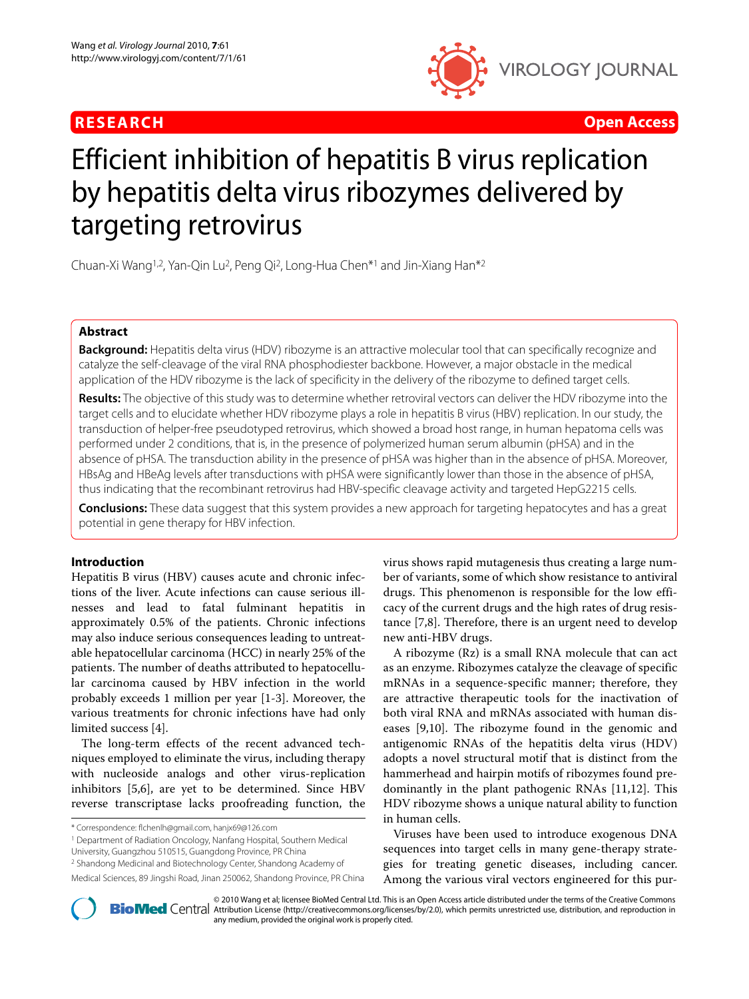



# Efficient inhibition of hepatitis B virus replication by hepatitis delta virus ribozymes delivered by targeting retrovirus

Chuan-Xi Wang1,2, Yan-Qin Lu2, Peng Qi2, Long-Hua Chen\*1 and Jin-Xiang Han\*2

# **Abstract**

**Background:** Hepatitis delta virus (HDV) ribozyme is an attractive molecular tool that can specifically recognize and catalyze the self-cleavage of the viral RNA phosphodiester backbone. However, a major obstacle in the medical application of the HDV ribozyme is the lack of specificity in the delivery of the ribozyme to defined target cells.

**Results:** The objective of this study was to determine whether retroviral vectors can deliver the HDV ribozyme into the target cells and to elucidate whether HDV ribozyme plays a role in hepatitis B virus (HBV) replication. In our study, the transduction of helper-free pseudotyped retrovirus, which showed a broad host range, in human hepatoma cells was performed under 2 conditions, that is, in the presence of polymerized human serum albumin (pHSA) and in the absence of pHSA. The transduction ability in the presence of pHSA was higher than in the absence of pHSA. Moreover, HBsAg and HBeAg levels after transductions with pHSA were significantly lower than those in the absence of pHSA, thus indicating that the recombinant retrovirus had HBV-specific cleavage activity and targeted HepG2215 cells.

**Conclusions:** These data suggest that this system provides a new approach for targeting hepatocytes and has a great potential in gene therapy for HBV infection.

## **Introduction**

Hepatitis B virus (HBV) causes acute and chronic infections of the liver. Acute infections can cause serious illnesses and lead to fatal fulminant hepatitis in approximately 0.5% of the patients. Chronic infections may also induce serious consequences leading to untreatable hepatocellular carcinoma (HCC) in nearly 25% of the patients. The number of deaths attributed to hepatocellular carcinoma caused by HBV infection in the world probably exceeds 1 million per year [[1-](#page-4-0)[3](#page-4-1)]. Moreover, the various treatments for chronic infections have had only limited success [[4](#page-4-2)].

The long-term effects of the recent advanced techniques employed to eliminate the virus, including therapy with nucleoside analogs and other virus-replication inhibitors [\[5](#page-4-3),[6\]](#page-4-4), are yet to be determined. Since HBV reverse transcriptase lacks proofreading function, the

\* Correspondence: flchenlh@gmail.com, hanjx69@126.com

1 Department of Radiation Oncology, Nanfang Hospital, Southern Medical

University, Guangzhou 510515, Guangdong Province, PR China

Medical Sciences, 89 Jingshi Road, Jinan 250062, Shandong Province, PR China

virus shows rapid mutagenesis thus creating a large number of variants, some of which show resistance to antiviral drugs. This phenomenon is responsible for the low efficacy of the current drugs and the high rates of drug resistance [[7,](#page-4-5)[8\]](#page-4-6). Therefore, there is an urgent need to develop new anti-HBV drugs.

A ribozyme (Rz) is a small RNA molecule that can act as an enzyme. Ribozymes catalyze the cleavage of specific mRNAs in a sequence-specific manner; therefore, they are attractive therapeutic tools for the inactivation of both viral RNA and mRNAs associated with human diseases [[9,](#page-4-7)[10\]](#page-5-0). The ribozyme found in the genomic and antigenomic RNAs of the hepatitis delta virus (HDV) adopts a novel structural motif that is distinct from the hammerhead and hairpin motifs of ribozymes found predominantly in the plant pathogenic RNAs [\[11](#page-5-1)[,12](#page-5-2)]. This HDV ribozyme shows a unique natural ability to function in human cells.

Viruses have been used to introduce exogenous DNA sequences into target cells in many gene-therapy strategies for treating genetic diseases, including cancer. Among the various viral vectors engineered for this pur-



2010 Wang et al; licensee [BioMed](http://www.biomedcentral.com/) Central Ltd. This is an Open Access article distributed under the terms of the Creative Commons (http://creativecommons.org/licenses/by/2.0), which permits unrestricted use, distribution, a any medium, provided the original work is properly cited.

<sup>2</sup> Shandong Medicinal and Biotechnology Center, Shandong Academy of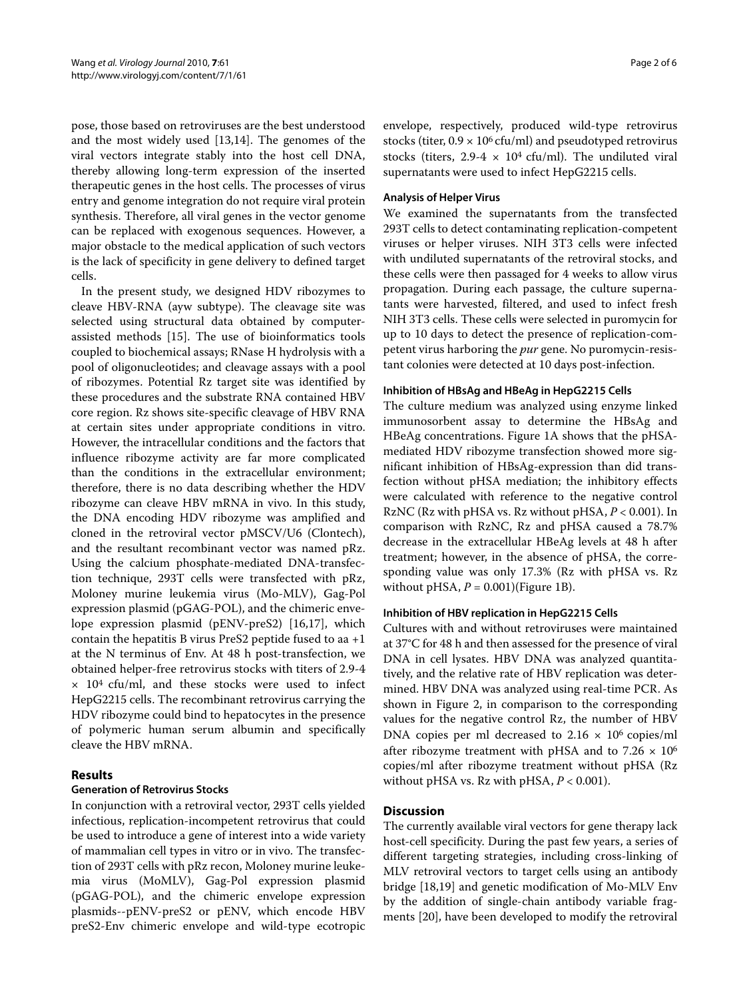pose, those based on retroviruses are the best understood and the most widely used [[13,](#page-5-3)[14\]](#page-5-4). The genomes of the viral vectors integrate stably into the host cell DNA, thereby allowing long-term expression of the inserted therapeutic genes in the host cells. The processes of virus entry and genome integration do not require viral protein synthesis. Therefore, all viral genes in the vector genome can be replaced with exogenous sequences. However, a major obstacle to the medical application of such vectors is the lack of specificity in gene delivery to defined target cells.

In the present study, we designed HDV ribozymes to cleave HBV-RNA (ayw subtype). The cleavage site was selected using structural data obtained by computerassisted methods [[15\]](#page-5-5). The use of bioinformatics tools coupled to biochemical assays; RNase H hydrolysis with a pool of oligonucleotides; and cleavage assays with a pool of ribozymes. Potential Rz target site was identified by these procedures and the substrate RNA contained HBV core region. Rz shows site-specific cleavage of HBV RNA at certain sites under appropriate conditions in vitro. However, the intracellular conditions and the factors that influence ribozyme activity are far more complicated than the conditions in the extracellular environment; therefore, there is no data describing whether the HDV ribozyme can cleave HBV mRNA in vivo. In this study, the DNA encoding HDV ribozyme was amplified and cloned in the retroviral vector pMSCV/U6 (Clontech), and the resultant recombinant vector was named pRz. Using the calcium phosphate-mediated DNA-transfection technique, 293T cells were transfected with pRz, Moloney murine leukemia virus (Mo-MLV), Gag-Pol expression plasmid (pGAG-POL), and the chimeric envelope expression plasmid (pENV-preS2) [\[16](#page-5-6)[,17\]](#page-5-7), which contain the hepatitis B virus PreS2 peptide fused to aa +1 at the N terminus of Env. At 48 h post-transfection, we obtained helper-free retrovirus stocks with titers of 2.9-4  $\times$  10<sup>4</sup> cfu/ml, and these stocks were used to infect HepG2215 cells. The recombinant retrovirus carrying the HDV ribozyme could bind to hepatocytes in the presence of polymeric human serum albumin and specifically cleave the HBV mRNA.

## **Results**

## **Generation of Retrovirus Stocks**

In conjunction with a retroviral vector, 293T cells yielded infectious, replication-incompetent retrovirus that could be used to introduce a gene of interest into a wide variety of mammalian cell types in vitro or in vivo. The transfection of 293T cells with pRz recon, Moloney murine leukemia virus (MoMLV), Gag-Pol expression plasmid (pGAG-POL), and the chimeric envelope expression plasmids--pENV-preS2 or pENV, which encode HBV preS2-Env chimeric envelope and wild-type ecotropic

envelope, respectively, produced wild-type retrovirus stocks (titer,  $0.9 \times 10^6$  cfu/ml) and pseudotyped retrovirus stocks (titers, 2.9-4  $\times$  10<sup>4</sup> cfu/ml). The undiluted viral supernatants were used to infect HepG2215 cells.

## **Analysis of Helper Virus**

We examined the supernatants from the transfected 293T cells to detect contaminating replication-competent viruses or helper viruses. NIH 3T3 cells were infected with undiluted supernatants of the retroviral stocks, and these cells were then passaged for 4 weeks to allow virus propagation. During each passage, the culture supernatants were harvested, filtered, and used to infect fresh NIH 3T3 cells. These cells were selected in puromycin for up to 10 days to detect the presence of replication-competent virus harboring the *pur* gene. No puromycin-resistant colonies were detected at 10 days post-infection.

## **Inhibition of HBsAg and HBeAg in HepG2215 Cells**

The culture medium was analyzed using enzyme linked immunosorbent assay to determine the HBsAg and HBeAg concentrations. Figure [1](#page-2-0)A shows that the pHSAmediated HDV ribozyme transfection showed more significant inhibition of HBsAg-expression than did transfection without pHSA mediation; the inhibitory effects were calculated with reference to the negative control RzNC (Rz with pHSA vs. Rz without pHSA, *P* < 0.001). In comparison with RzNC, Rz and pHSA caused a 78.7% decrease in the extracellular HBeAg levels at 48 h after treatment; however, in the absence of pHSA, the corresponding value was only 17.3% (Rz with pHSA vs. Rz without pHSA, *P* = 0.001)(Figure [1B](#page-2-0)).

## **Inhibition of HBV replication in HepG2215 Cells**

Cultures with and without retroviruses were maintained at 37°C for 48 h and then assessed for the presence of viral DNA in cell lysates. HBV DNA was analyzed quantitatively, and the relative rate of HBV replication was determined. HBV DNA was analyzed using real-time PCR. As shown in Figure [2](#page-2-1), in comparison to the corresponding values for the negative control Rz, the number of HBV DNA copies per ml decreased to  $2.16 \times 10^6$  copies/ml after ribozyme treatment with pHSA and to  $7.26 \times 10^6$ copies/ml after ribozyme treatment without pHSA (Rz without pHSA vs. Rz with pHSA, *P* < 0.001).

## **Discussion**

The currently available viral vectors for gene therapy lack host-cell specificity. During the past few years, a series of different targeting strategies, including cross-linking of MLV retroviral vectors to target cells using an antibody bridge [[18,](#page-5-8)[19\]](#page-5-9) and genetic modification of Mo-MLV Env by the addition of single-chain antibody variable fragments [[20\]](#page-5-10), have been developed to modify the retroviral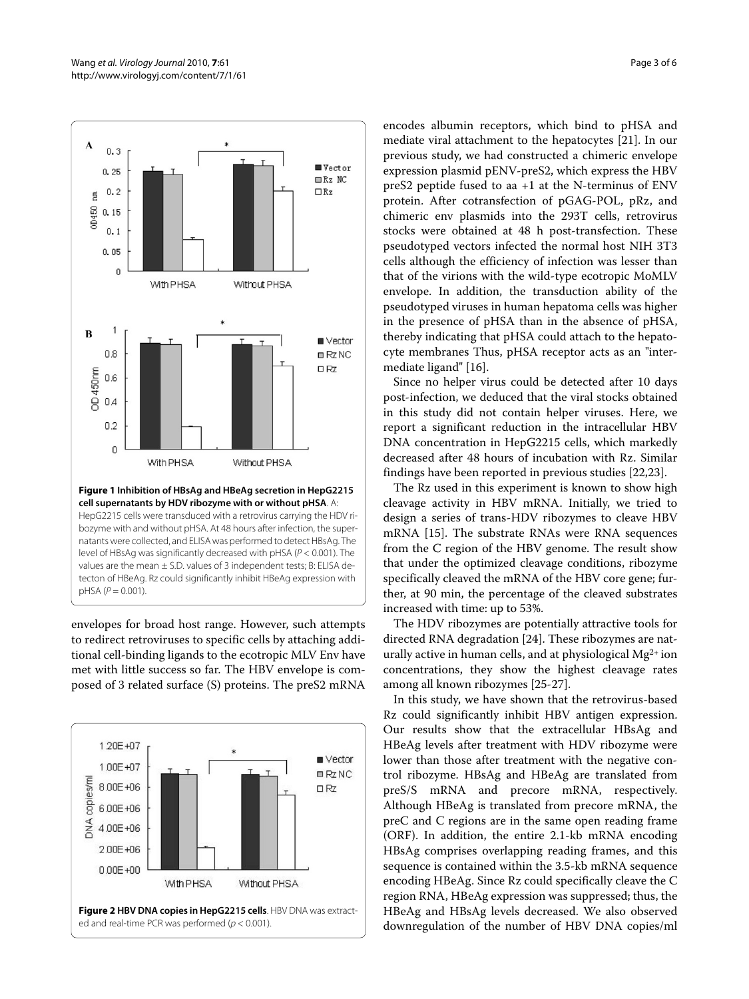<span id="page-2-0"></span>

**cell supernatants by HDV ribozyme with or without pHSA**. A: HepG2215 cells were transduced with a retrovirus carrying the HDV ribozyme with and without pHSA. At 48 hours after infection, the supernatants were collected, and ELISA was performed to detect HBsAg. The level of HBsAg was significantly decreased with pHSA (P < 0.001). The values are the mean  $\pm$  S.D. values of 3 independent tests; B: ELISA detecton of HBeAg. Rz could significantly inhibit HBeAg expression with  $pHSA (P = 0.001)$ .

envelopes for broad host range. However, such attempts to redirect retroviruses to specific cells by attaching additional cell-binding ligands to the ecotropic MLV Env have met with little success so far. The HBV envelope is composed of 3 related surface (S) proteins. The preS2 mRNA

<span id="page-2-1"></span>

encodes albumin receptors, which bind to pHSA and mediate viral attachment to the hepatocytes [\[21\]](#page-5-11). In our previous study, we had constructed a chimeric envelope expression plasmid pENV-preS2, which express the HBV preS2 peptide fused to aa +1 at the N-terminus of ENV protein. After cotransfection of pGAG-POL, pRz, and chimeric env plasmids into the 293T cells, retrovirus stocks were obtained at 48 h post-transfection. These pseudotyped vectors infected the normal host NIH 3T3 cells although the efficiency of infection was lesser than that of the virions with the wild-type ecotropic MoMLV envelope. In addition, the transduction ability of the pseudotyped viruses in human hepatoma cells was higher in the presence of pHSA than in the absence of pHSA, thereby indicating that pHSA could attach to the hepatocyte membranes Thus, pHSA receptor acts as an "intermediate ligand" [[16](#page-5-6)].

Since no helper virus could be detected after 10 days post-infection, we deduced that the viral stocks obtained in this study did not contain helper viruses. Here, we report a significant reduction in the intracellular HBV DNA concentration in HepG2215 cells, which markedly decreased after 48 hours of incubation with Rz. Similar findings have been reported in previous studies [\[22](#page-5-12)[,23\]](#page-5-13).

The Rz used in this experiment is known to show high cleavage activity in HBV mRNA. Initially, we tried to design a series of trans-HDV ribozymes to cleave HBV mRNA [[15](#page-5-5)]. The substrate RNAs were RNA sequences from the C region of the HBV genome. The result show that under the optimized cleavage conditions, ribozyme specifically cleaved the mRNA of the HBV core gene; further, at 90 min, the percentage of the cleaved substrates increased with time: up to 53%.

The HDV ribozymes are potentially attractive tools for directed RNA degradation [\[24\]](#page-5-14). These ribozymes are naturally active in human cells, and at physiological  $Mg^{2+}$  ion concentrations, they show the highest cleavage rates among all known ribozymes [\[25-](#page-5-15)[27](#page-5-16)].

In this study, we have shown that the retrovirus-based Rz could significantly inhibit HBV antigen expression. Our results show that the extracellular HBsAg and HBeAg levels after treatment with HDV ribozyme were lower than those after treatment with the negative control ribozyme. HBsAg and HBeAg are translated from preS/S mRNA and precore mRNA, respectively. Although HBeAg is translated from precore mRNA, the preC and C regions are in the same open reading frame (ORF). In addition, the entire 2.1-kb mRNA encoding HBsAg comprises overlapping reading frames, and this sequence is contained within the 3.5-kb mRNA sequence encoding HBeAg. Since Rz could specifically cleave the C region RNA, HBeAg expression was suppressed; thus, the HBeAg and HBsAg levels decreased. We also observed downregulation of the number of HBV DNA copies/ml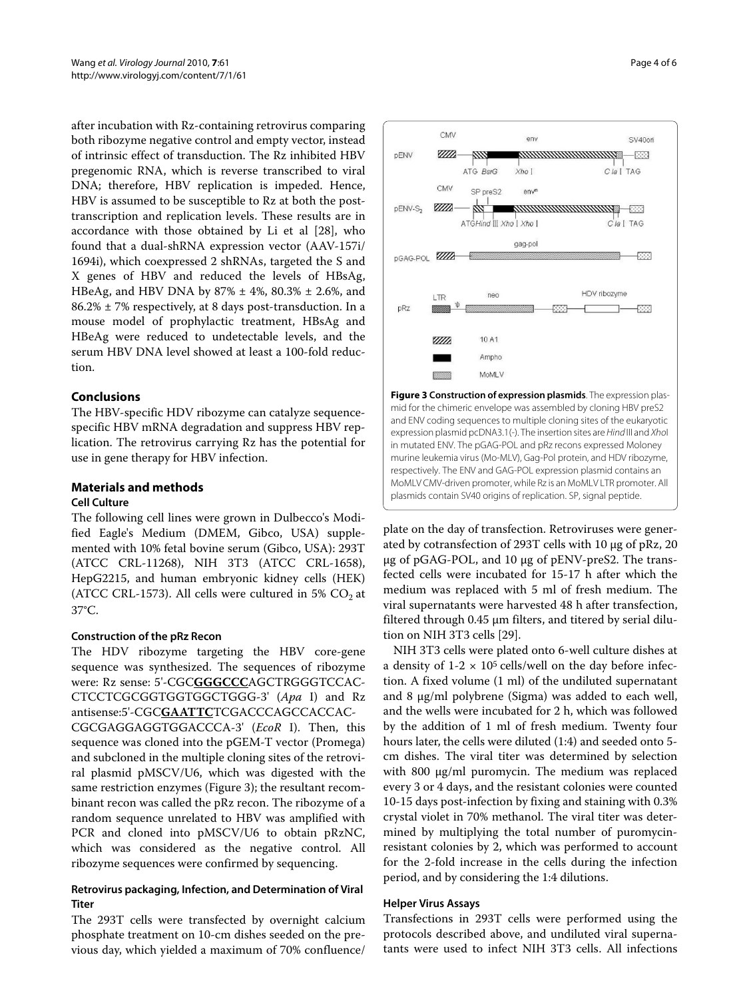after incubation with Rz-containing retrovirus comparing both ribozyme negative control and empty vector, instead of intrinsic effect of transduction. The Rz inhibited HBV pregenomic RNA, which is reverse transcribed to viral DNA; therefore, HBV replication is impeded. Hence, HBV is assumed to be susceptible to Rz at both the posttranscription and replication levels. These results are in accordance with those obtained by Li et al [[28\]](#page-5-17), who found that a dual-shRNA expression vector (AAV-157i/ 1694i), which coexpressed 2 shRNAs, targeted the S and X genes of HBV and reduced the levels of HBsAg, HBeAg, and HBV DNA by  $87\% \pm 4\%$ ,  $80.3\% \pm 2.6\%$ , and  $86.2\% \pm 7\%$  respectively, at 8 days post-transduction. In a mouse model of prophylactic treatment, HBsAg and HBeAg were reduced to undetectable levels, and the serum HBV DNA level showed at least a 100-fold reduction.

## **Conclusions**

The HBV-specific HDV ribozyme can catalyze sequencespecific HBV mRNA degradation and suppress HBV replication. The retrovirus carrying Rz has the potential for use in gene therapy for HBV infection.

# **Materials and methods**

## **Cell Culture**

The following cell lines were grown in Dulbecco's Modified Eagle's Medium (DMEM, Gibco, USA) supplemented with 10% fetal bovine serum (Gibco, USA): 293T (ATCC CRL-11268), NIH 3T3 (ATCC CRL-1658), HepG2215, and human embryonic kidney cells (HEK) (ATCC CRL-1573). All cells were cultured in 5%  $CO<sub>2</sub>$  at 37°C.

## **Construction of the pRz Recon**

The HDV ribozyme targeting the HBV core-gene sequence was synthesized. The sequences of ribozyme were: Rz sense: 5'-CGC**GGGCCC**AGCTRGGGTCCAC-CTCCTCGCGGTGGTGGCTGGG-3' (*Apa* I) and Rz antisense:5'-CGC**GAATTC**TCGACCCAGCCACCAC-

CGCGAGGAGGTGGACCCA-3' (*EcoR* I). Then, this sequence was cloned into the pGEM-T vector (Promega) and subcloned in the multiple cloning sites of the retroviral plasmid pMSCV/U6, which was digested with the same restriction enzymes (Figure [3](#page-3-0)); the resultant recombinant recon was called the pRz recon. The ribozyme of a random sequence unrelated to HBV was amplified with PCR and cloned into pMSCV/U6 to obtain pRzNC, which was considered as the negative control. All ribozyme sequences were confirmed by sequencing.

## **Retrovirus packaging, Infection, and Determination of Viral Titer**

The 293T cells were transfected by overnight calcium phosphate treatment on 10-cm dishes seeded on the previous day, which yielded a maximum of 70% confluence/

<span id="page-3-0"></span>

mid for the chimeric envelope was assembled by cloning HBV preS2 and ENV coding sequences to multiple cloning sites of the eukaryotic expression plasmid pcDNA3.1(-). The insertion sites are Hind III and Xhol in mutated ENV. The pGAG-POL and pRz recons expressed Moloney murine leukemia virus (Mo-MLV), Gag-Pol protein, and HDV ribozyme, respectively. The ENV and GAG-POL expression plasmid contains an MoMLV CMV-driven promoter, while Rz is an MoMLV LTR promoter. All plasmids contain SV40 origins of replication. SP, signal peptide.

plate on the day of transfection. Retroviruses were generated by cotransfection of 293T cells with 10 μg of pRz, 20 μg of pGAG-POL, and 10 μg of pENV-preS2. The transfected cells were incubated for 15-17 h after which the medium was replaced with 5 ml of fresh medium. The viral supernatants were harvested 48 h after transfection, filtered through 0.45 μm filters, and titered by serial dilution on NIH 3T3 cells [\[29\]](#page-5-18).

NIH 3T3 cells were plated onto 6-well culture dishes at a density of  $1-2 \times 10^5$  cells/well on the day before infection. A fixed volume (1 ml) of the undiluted supernatant and 8 μg/ml polybrene (Sigma) was added to each well, and the wells were incubated for 2 h, which was followed by the addition of 1 ml of fresh medium. Twenty four hours later, the cells were diluted (1:4) and seeded onto 5 cm dishes. The viral titer was determined by selection with 800 μg/ml puromycin. The medium was replaced every 3 or 4 days, and the resistant colonies were counted 10-15 days post-infection by fixing and staining with 0.3% crystal violet in 70% methanol. The viral titer was determined by multiplying the total number of puromycinresistant colonies by 2, which was performed to account for the 2-fold increase in the cells during the infection period, and by considering the 1:4 dilutions.

### **Helper Virus Assays**

Transfections in 293T cells were performed using the protocols described above, and undiluted viral supernatants were used to infect NIH 3T3 cells. All infections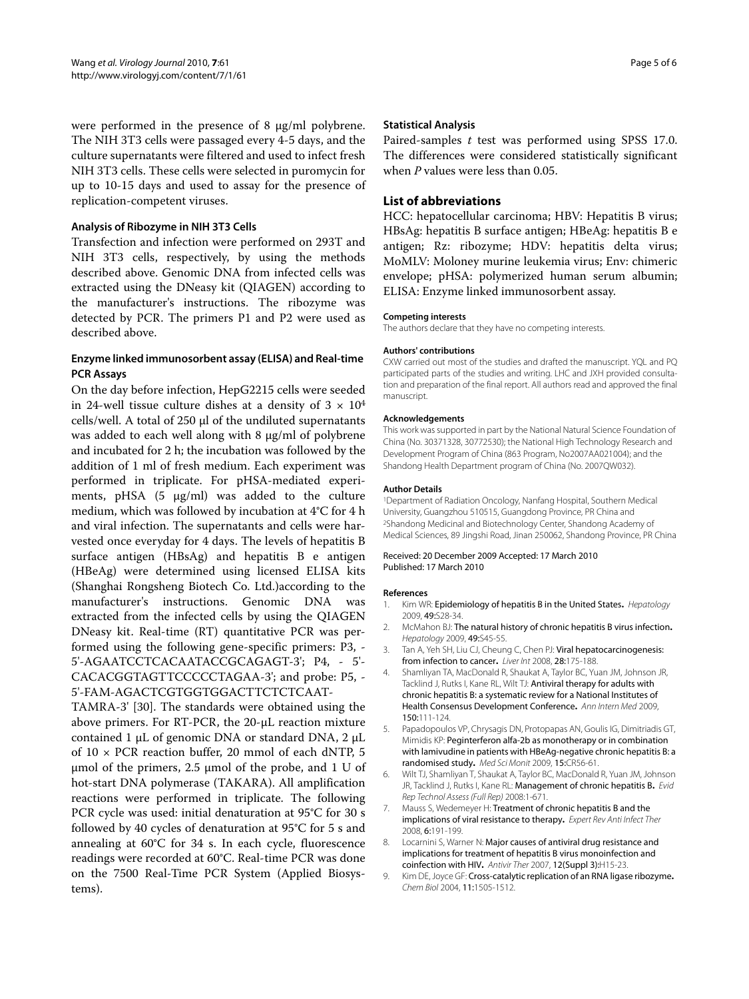were performed in the presence of 8 μg/ml polybrene. The NIH 3T3 cells were passaged every 4-5 days, and the culture supernatants were filtered and used to infect fresh NIH 3T3 cells. These cells were selected in puromycin for up to 10-15 days and used to assay for the presence of replication-competent viruses.

## **Analysis of Ribozyme in NIH 3T3 Cells**

Transfection and infection were performed on 293T and NIH 3T3 cells, respectively, by using the methods described above. Genomic DNA from infected cells was extracted using the DNeasy kit (QIAGEN) according to the manufacturer's instructions. The ribozyme was detected by PCR. The primers P1 and P2 were used as described above.

## **Enzyme linked immunosorbent assay (ELISA) and Real-time PCR Assays**

On the day before infection, HepG2215 cells were seeded in 24-well tissue culture dishes at a density of  $3 \times 10^4$ cells/well. A total of 250 μl of the undiluted supernatants was added to each well along with 8 μg/ml of polybrene and incubated for 2 h; the incubation was followed by the addition of 1 ml of fresh medium. Each experiment was performed in triplicate. For pHSA-mediated experiments, pHSA (5 μg/ml) was added to the culture medium, which was followed by incubation at 4°C for 4 h and viral infection. The supernatants and cells were harvested once everyday for 4 days. The levels of hepatitis B surface antigen (HBsAg) and hepatitis B e antigen (HBeAg) were determined using licensed ELISA kits (Shanghai Rongsheng Biotech Co. Ltd.)according to the manufacturer's instructions. Genomic DNA was extracted from the infected cells by using the QIAGEN DNeasy kit. Real-time (RT) quantitative PCR was performed using the following gene-specific primers: P3, - 5'-AGAATCCTCACAATACCGCAGAGT-3'; P4, - 5'- CACACGGTAGTTCCCCCTAGAA-3'; and probe: P5, - 5'-FAM-AGACTCGTGGTGGACTTCTCTCAAT-

TAMRA-3' [[30\]](#page-5-19). The standards were obtained using the above primers. For RT-PCR, the 20-μL reaction mixture contained 1 μL of genomic DNA or standard DNA, 2 μL of 10 × PCR reaction buffer, 20 mmol of each dNTP, 5 μmol of the primers, 2.5 μmol of the probe, and 1 U of hot-start DNA polymerase (TAKARA). All amplification reactions were performed in triplicate. The following PCR cycle was used: initial denaturation at 95°C for 30 s followed by 40 cycles of denaturation at 95°C for 5 s and annealing at 60°C for 34 s. In each cycle, fluorescence readings were recorded at 60°C. Real-time PCR was done on the 7500 Real-Time PCR System (Applied Biosystems).

### **Statistical Analysis**

Paired-samples *t* test was performed using SPSS 17.0. The differences were considered statistically significant when *P* values were less than 0.05.

## **List of abbreviations**

HCC: hepatocellular carcinoma; HBV: Hepatitis B virus; HBsAg: hepatitis B surface antigen; HBeAg: hepatitis B e antigen; Rz: ribozyme; HDV: hepatitis delta virus; MoMLV: Moloney murine leukemia virus; Env: chimeric envelope; pHSA: polymerized human serum albumin; ELISA: Enzyme linked immunosorbent assay.

#### **Competing interests**

The authors declare that they have no competing interests.

#### **Authors' contributions**

CXW carried out most of the studies and drafted the manuscript. YQL and PQ participated parts of the studies and writing. LHC and JXH provided consultation and preparation of the final report. All authors read and approved the final manuscript.

#### **Acknowledgements**

This work was supported in part by the National Natural Science Foundation of China (No. 30371328, 30772530); the National High Technology Research and Development Program of China (863 Program, No2007AA021004); and the Shandong Health Department program of China (No. 2007QW032).

#### **Author Details**

1Department of Radiation Oncology, Nanfang Hospital, Southern Medical University, Guangzhou 510515, Guangdong Province, PR China and 2Shandong Medicinal and Biotechnology Center, Shandong Academy of Medical Sciences, 89 Jingshi Road, Jinan 250062, Shandong Province, PR China

#### Received: 20 December 2009 Accepted: 17 March 2010 Published: 17 March 2010

#### **References**

- <span id="page-4-0"></span>1. Kim WR: Epidemiology of hepatitis B in the United States**.** Hepatology 2009, 49:S28-34.
- 2. McMahon BJ: The natural history of chronic hepatitis B virus infection**.** Hepatology 2009, 49:S45-55.
- <span id="page-4-1"></span>3. Tan A, Yeh SH, Liu CJ, Cheung C, Chen PJ: Viral hepatocarcinogenesis: from infection to cancer**.** Liver Int 2008, 28:175-188.
- <span id="page-4-2"></span>4. Shamliyan TA, MacDonald R, Shaukat A, Taylor BC, Yuan JM, Johnson JR, Tacklind J, Rutks I, Kane RL, Wilt TJ: Antiviral therapy for adults with chronic hepatitis B: a systematic review for a National Institutes of Health Consensus Development Conference**.** Ann Intern Med 2009, 150:111-124.
- <span id="page-4-3"></span>5. Papadopoulos VP, Chrysagis DN, Protopapas AN, Goulis IG, Dimitriadis GT, Mimidis KP: Peginterferon alfa-2b as monotherapy or in combination with lamivudine in patients with HBeAg-negative chronic hepatitis B: a randomised study**.** Med Sci Monit 2009, 15:CR56-61.
- <span id="page-4-4"></span>6. Wilt TJ, Shamliyan T, Shaukat A, Taylor BC, MacDonald R, Yuan JM, Johnson JR, Tacklind J, Rutks I, Kane RL: Management of chronic hepatitis B**.** Evid Rep Technol Assess (Full Rep) 2008:1-671.
- <span id="page-4-5"></span>7. Mauss S, Wedemeyer H: Treatment of chronic hepatitis B and the implications of viral resistance to therapy**.** Expert Rev Anti Infect Ther 2008, 6:191-199.
- <span id="page-4-6"></span>Locarnini S, Warner N: Major causes of antiviral drug resistance and implications for treatment of hepatitis B virus monoinfection and coinfection with HIV**.** Antivir Ther 2007, 12(Suppl 3):H15-23.
- <span id="page-4-7"></span>9. Kim DE, Joyce GF: Cross-catalytic replication of an RNA ligase ribozyme**.** Chem Biol 2004, 11:1505-1512.